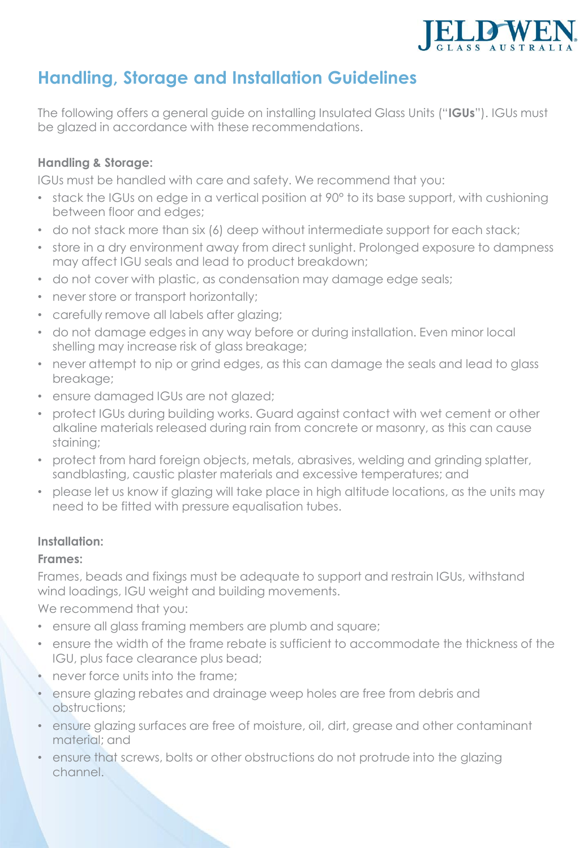

# **Handling, Storage and Installation Guidelines**

The following offers a general guide on installing Insulated Glass Units ("**IGUs**"). IGUs must be glazed in accordance with these recommendations.

### **Handling & Storage:**

IGUs must be handled with care and safety. We recommend that you:

- stack the IGUs on edge in a vertical position at 90° to its base support, with cushioning between floor and edges;
- do not stack more than six (6) deep without intermediate support for each stack;
- store in a dry environment away from direct sunlight. Prolonged exposure to dampness may affect IGU seals and lead to product breakdown;
- do not cover with plastic, as condensation may damage edge seals;
- never store or transport horizontally;
- carefully remove all labels after glazing;
- do not damage edges in any way before or during installation. Even minor local shelling may increase risk of glass breakage;
- never attempt to nip or grind edges, as this can damage the seals and lead to glass breakage;
- ensure damaged IGUs are not glazed;
- protect IGUs during building works. Guard against contact with wet cement or other alkaline materials released during rain from concrete or masonry, as this can cause staining;
- protect from hard foreign objects, metals, abrasives, welding and grinding splatter, sandblasting, caustic plaster materials and excessive temperatures; and
- please let us know if glazing will take place in high altitude locations, as the units may need to be fitted with pressure equalisation tubes.

### **Installation:**

#### **Frames:**

Frames, beads and fixings must be adequate to support and restrain IGUs, withstand wind loadings, IGU weight and building movements.

We recommend that you:

- ensure all glass framing members are plumb and square;
- ensure the width of the frame rebate is sufficient to accommodate the thickness of the IGU, plus face clearance plus bead;
- never force units into the frame;
- ensure glazing rebates and drainage weep holes are free from debris and obstructions;
- ensure glazing surfaces are free of moisture, oil, dirt, grease and other contaminant material; and
- ensure that screws, bolts or other obstructions do not protrude into the glazing channel.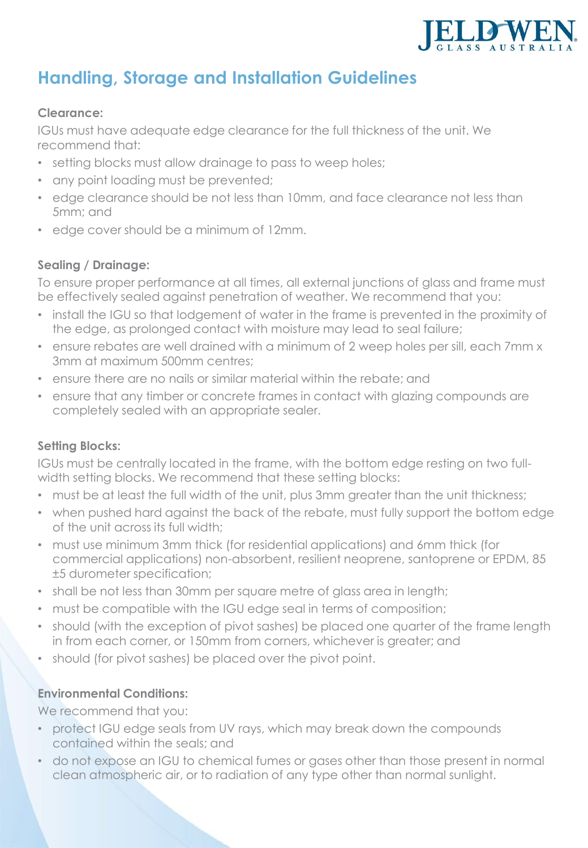

# **Handling, Storage and Installation Guidelines**

#### **Clearance:**

IGUs must have adequate edge clearance for the full thickness of the unit. We recommend that:

- setting blocks must allow drainage to pass to weep holes;
- any point loading must be prevented;
- edge clearance should be not less than 10mm, and face clearance not less than 5mm; and
- edge cover should be a minimum of 12mm.

### **Sealing / Drainage:**

To ensure proper performance at all times, all external junctions of glass and frame must be effectively sealed against penetration of weather. We recommend that you:

- install the IGU so that lodgement of water in the frame is prevented in the proximity of the edge, as prolonged contact with moisture may lead to seal failure;
- ensure rebates are well drained with a minimum of 2 weep holes per sill, each 7mm x 3mm at maximum 500mm centres;
- ensure there are no nails or similar material within the rebate; and
- ensure that any timber or concrete frames in contact with glazing compounds are completely sealed with an appropriate sealer.

### **Setting Blocks:**

IGUs must be centrally located in the frame, with the bottom edge resting on two fullwidth setting blocks. We recommend that these setting blocks:

- must be at least the full width of the unit, plus 3mm greater than the unit thickness;
- when pushed hard against the back of the rebate, must fully support the bottom edge of the unit across its full width;
- must use minimum 3mm thick (for residential applications) and 6mm thick (for commercial applications) non-absorbent, resilient neoprene, santoprene or EPDM, 85 ±5 durometer specification;
- shall be not less than 30mm per square metre of glass area in length;
- must be compatible with the IGU edge seal in terms of composition;
- should (with the exception of pivot sashes) be placed one quarter of the frame length in from each corner, or 150mm from corners, whichever is greater; and
- should (for pivot sashes) be placed over the pivot point.

### **Environmental Conditions:**

We recommend that you:

- protect IGU edge seals from UV rays, which may break down the compounds contained within the seals; and
- do not expose an IGU to chemical fumes or gases other than those present in normal clean atmospheric air, or to radiation of any type other than normal sunlight.